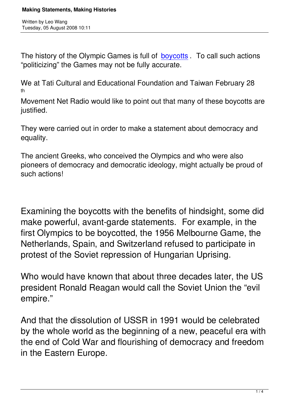The history of the Olympic Games is full of **boycotts**. To call such actions "politicizing" the Games may not be fully accurate.

We at Tati Cultural and Educational Found[ation and](http://en.wikipedia.org/wiki/Olympics#Boycotts) Taiwan February 28 th

Movement Net Radio would like to point out that many of these boycotts are justified.

They were carried out in order to make a statement about democracy and equality.

The ancient Greeks, who conceived the Olympics and who were also pioneers of democracy and democratic ideology, might actually be proud of such actions!

Examining the boycotts with the benefits of hindsight, some did make powerful, avant-garde statements. For example, in the first Olympics to be boycotted, the 1956 Melbourne Game, the Netherlands, Spain, and Switzerland refused to participate in protest of the Soviet repression of Hungarian Uprising.

Who would have known that about three decades later, the US president Ronald Reagan would call the Soviet Union the "evil empire."

And that the dissolution of USSR in 1991 would be celebrated by the whole world as the beginning of a new, peaceful era with the end of Cold War and flourishing of democracy and freedom in the Eastern Europe.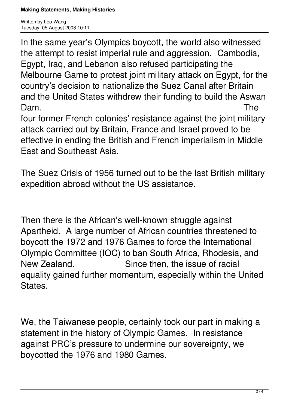Written by Leo Wang Tuesday, 05 August 2008 10:11

In the same year's Olympics boycott, the world also witnessed the attempt to resist imperial rule and aggression. Cambodia, Egypt, Iraq, and Lebanon also refused participating the Melbourne Game to protest joint military attack on Egypt, for the country's decision to nationalize the Suez Canal after Britain and the United States withdrew their funding to build the Aswan Dam. The

four former French colonies' resistance against the joint military attack carried out by Britain, France and Israel proved to be effective in ending the British and French imperialism in Middle East and Southeast Asia.

The Suez Crisis of 1956 turned out to be the last British military expedition abroad without the US assistance.

Then there is the African's well-known struggle against Apartheid. A large number of African countries threatened to boycott the 1972 and 1976 Games to force the International Olympic Committee (IOC) to ban South Africa, Rhodesia, and New Zealand. Since then, the issue of racial equality gained further momentum, especially within the United States.

We, the Taiwanese people, certainly took our part in making a statement in the history of Olympic Games. In resistance against PRC's pressure to undermine our sovereignty, we boycotted the 1976 and 1980 Games.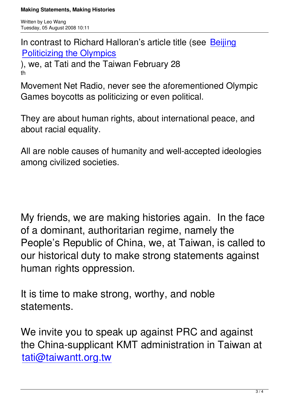In contrast to Richard Halloran's article title (see Beijing Politicizing the Olympics

), we, at Tati and the Taiwan February 28 [th](http://taiwantt.org.tw/taipeitimes/2008/08/20080803.htm)

Movement Net Radio, never see the aforementioned Olympic Games boycotts as politicizing or even political.

They are about human rights, about international peace, and about racial equality.

All are noble causes of humanity and well-accepted ideologies among civilized societies.

My friends, we are making histories again. In the face of a dominant, authoritarian regime, namely the People's Republic of China, we, at Taiwan, is called to our historical duty to make strong statements against human rights oppression.

It is time to make strong, worthy, and noble statements.

We invite you to speak up against PRC and against the China-supplicant KMT administration in Taiwan at tati@taiwantt.org.tw